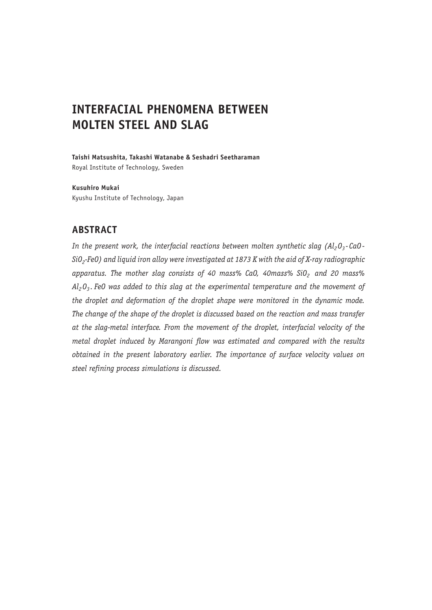# **INTERFACIAL PHENOMENA BETWEEN MOLTEN STEEL AND SLAG**

**Taishi Matsushita, Takashi Watanabe & Seshadri Seetharaman** Royal Institute of Technology, Sweden

**Kusuhiro Mukai** Kyushu Institute of Technology, Japan

# **ABSTRACT**

*In the present work, the interfacial reactions between molten synthetic slag (Al<sub>2</sub>O<sub>3</sub>-CaO-SiO 2 - FeO ) and liquid iron alloy were investigated at 1873 K with the aid of X-ray radiographic*  apparatus. The mother slag consists of 40 mass% CaO, 40mass% SiO<sub>2</sub> and 20 mass% *Al2 O3 . FeO was added to this slag at the experimental temperature and the movement of the droplet and deformation of the droplet shape were monitored in the dynamic mode. The change of the shape of the droplet is discussed based on the reaction and mass transfer at the slag-metal interface. From the movement of the droplet, interfacial velocity of the metal droplet induced by Marangoni flow was estimated and compared with the results obtained in the present laboratory earlier. The importance of surface velocity values on steel refining process simulations is discussed.*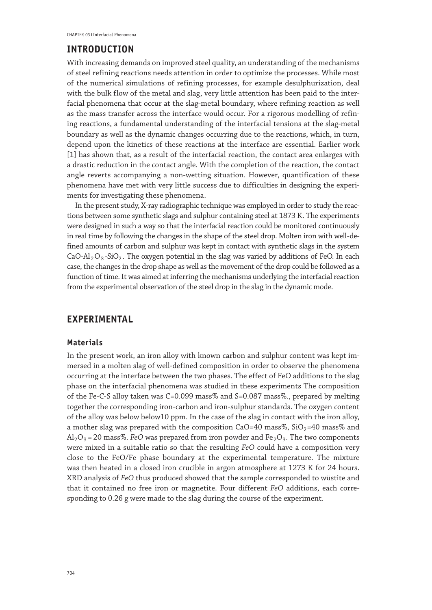### **INTRODUCTION**

With increasing demands on improved steel quality, an understanding of the mechanisms of steel refining reactions needs attention in order to optimize the processes. While most of the numerical simulations of refining processes, for example desulphurization, deal with the bulk flow of the metal and slag, very little attention has been paid to the interfacial phenomena that occur at the slag-metal boundary, where refining reaction as well as the mass transfer across the interface would occur. For a rigorous modelling of refining reactions, a fundamental understanding of the interfacial tensions at the slag-metal boundary as well as the dynamic changes occurring due to the reactions, which, in turn, depend upon the kinetics of these reactions at the interface are essential. Earlier work [1] has shown that, as a result of the interfacial reaction, the contact area enlarges with a drastic reduction in the contact angle. With the completion of the reaction, the contact angle reverts accompanying a non-wetting situation. However, quantification of these phenomena have met with very little success due to difficulties in designing the experiments for investigating these phenomena.

In the present study, X-ray radiographic technique was employed in order to study the reactions between some synthetic slags and sulphur containing steel at 1873 K. The experiments were designed in such a way so that the interfacial reaction could be monitored continuously in real time by following the changes in the shape of the steel drop. Molten iron with well-defined amounts of carbon and sulphur was kept in contact with synthetic slags in the system CaO-Al<sub>2</sub>O<sub>3</sub>-SiO<sub>2</sub>. The oxygen potential in the slag was varied by additions of FeO. In each case, the changes in the drop shape as well as the movement of the drop could be followed as a function of time. It was aimed at inferring the mechanisms underlying the interfacial reaction from the experimental observation of the steel drop in the slag in the dynamic mode.

# **EXPERIMENTAL**

#### **Materials**

In the present work, an iron alloy with known carbon and sulphur content was kept immersed in a molten slag of well-defined composition in order to observe the phenomena occurring at the interface between the two phases. The effect of FeO additions to the slag phase on the interfacial phenomena was studied in these experiments The composition of the Fe-C-S alloy taken was C=0.099 mass% and S=0.087 mass%., prepared by melting together the corresponding iron-carbon and iron-sulphur standards. The oxygen content of the alloy was below below10 ppm. In the case of the slag in contact with the iron alloy, a mother slag was prepared with the composition  $CaO=40$  mass%,  $SiO<sub>2</sub>=40$  mass% and  $Al_2O_3$  = 20 mass%. *FeO* was prepared from iron powder and Fe<sub>2</sub>O<sub>3</sub>. The two components were mixed in a suitable ratio so that the resulting *FeO* could have a composition very close to the FeO/Fe phase boundary at the experimental temperature. The mixture was then heated in a closed iron crucible in argon atmosphere at 1273 K for 24 hours. XRD analysis of *FeO* thus produced showed that the sample corresponded to wüstite and that it contained no free iron or magnetite. Four different *FeO* additions, each corresponding to 0.26 g were made to the slag during the course of the experiment.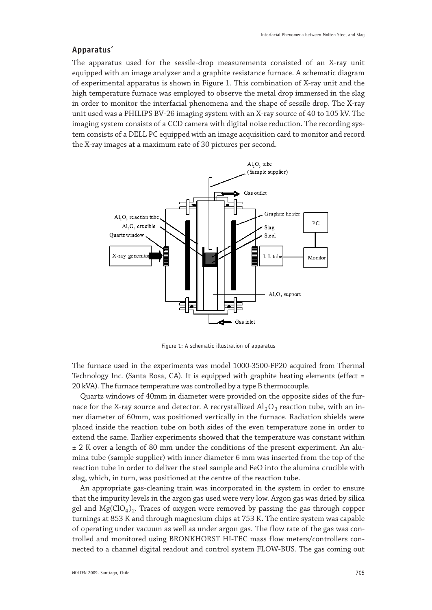#### **Apparatus´**

The apparatus used for the sessile-drop measurements consisted of an X-ray unit equipped with an image analyzer and a graphite resistance furnace. A schematic diagram of experimental apparatus is shown in Figure 1. This combination of X-ray unit and the high temperature furnace was employed to observe the metal drop immersed in the slag in order to monitor the interfacial phenomena and the shape of sessile drop. The X-ray unit used was a PHILIPS BV-26 imaging system with an X-ray source of 40 to 105 kV. The imaging system consists of a CCD camera with digital noise reduction. The recording system consists of a DELL PC equipped with an image acquisition card to monitor and record the X-ray images at a maximum rate of 30 pictures per second.



Figure 1: A schematic illustration of apparatus

The furnace used in the experiments was model 1000-3500-FP20 acquired from Thermal Technology Inc. (Santa Rosa, CA). It is equipped with graphite heating elements (effect = 20 kVA). The furnace temperature was controlled by a type B thermocouple.

Quartz windows of 40mm in diameter were provided on the opposite sides of the furnace for the X-ray source and detector. A recrystallized  $Al_2O_3$  reaction tube, with an inner diameter of 60mm, was positioned vertically in the furnace. Radiation shields were placed inside the reaction tube on both sides of the even temperature zone in order to extend the same. Earlier experiments showed that the temperature was constant within  $\pm$  2 K over a length of 80 mm under the conditions of the present experiment. An alumina tube (sample supplier) with inner diameter 6 mm was inserted from the top of the reaction tube in order to deliver the steel sample and FeO into the alumina crucible with slag, which, in turn, was positioned at the centre of the reaction tube.

An appropriate gas-cleaning train was incorporated in the system in order to ensure that the impurity levels in the argon gas used were very low. Argon gas was dried by silica gel and  $Mg(CIO<sub>4</sub>)$ . Traces of oxygen were removed by passing the gas through copper turnings at 853 K and through magnesium chips at 753 K. The entire system was capable of operating under vacuum as well as under argon gas. The flow rate of the gas was controlled and monitored using BRONKHORST HI-TEC mass flow meters/controllers connected to a channel digital readout and control system FLOW-BUS. The gas coming out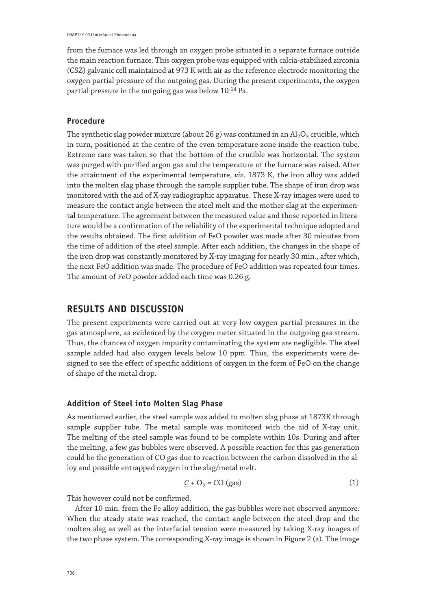from the furnace was led through an oxygen probe situated in a separate furnace outside the main reaction furnace. This oxygen probe was equipped with calcia-stabilized zirconia (CSZ) galvanic cell maintained at 973 K with air as the reference electrode monitoring the oxygen partial pressure of the outgoing gas. During the present experiments, the oxygen partial pressure in the outgoing gas was below  $10^{-14}$  Pa.

#### **Procedure**

The synthetic slag powder mixture (about 26 g) was contained in an  $\text{Al}_2\text{O}_3$  crucible, which in turn, positioned at the centre of the even temperature zone inside the reaction tube. Extreme care was taken so that the bottom of the crucible was horizontal. The system was purged with purified argon gas and the temperature of the furnace was raised. After the attainment of the experimental temperature, *viz*. 1873 K, the iron alloy was added into the molten slag phase through the sample supplier tube. The shape of iron drop was monitored with the aid of X-ray radiographic apparatus. These X-ray images were used to measure the contact angle between the steel melt and the mother slag at the experimental temperature. The agreement between the measured value and those reported in literature would be a confirmation of the reliability of the experimental technique adopted and the results obtained. The first addition of FeO powder was made after 30 minutes from the time of addition of the steel sample. After each addition, the changes in the shape of the iron drop was constantly monitored by X-ray imaging for nearly 30 min., after which, the next FeO addition was made. The procedure of FeO addition was repeated four times. The amount of FeO powder added each time was 0.26 g.

### **RESULTS AND DISCUSSION**

The present experiments were carried out at very low oxygen partial pressures in the gas atmosphere, as evidenced by the oxygen meter situated in the outgoing gas stream. Thus, the chances of oxygen impurity contaminating the system are negligible. The steel sample added had also oxygen levels below 10 ppm. Thus, the experiments were designed to see the effect of specific additions of oxygen in the form of FeO on the change of shape of the metal drop.

#### **Addition of Steel into Molten Slag Phase**

As mentioned earlier, the steel sample was added to molten slag phase at 1873K through sample supplier tube. The metal sample was monitored with the aid of X-ray unit. The melting of the steel sample was found to be complete within 10s. During and after the melting, a few gas bubbles were observed. A possible reaction for this gas generation could be the generation of CO gas due to reaction between the carbon dissolved in the alloy and possible entrapped oxygen in the slag/metal melt.

$$
\underline{C} + O_2 = CO (gas)
$$
 (1)

This however could not be confirmed.

After 10 min. from the Fe alloy addition, the gas bubbles were not observed anymore. When the steady state was reached, the contact angle between the steel drop and the molten slag as well as the interfacial tension were measured by taking X-ray images of the two phase system. The corresponding X-ray image is shown in Figure 2 (a). The image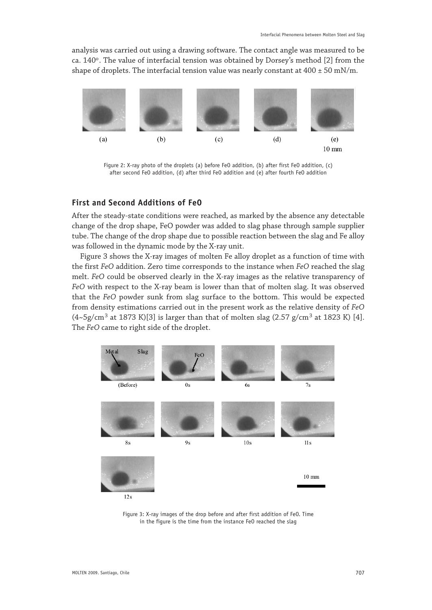analysis was carried out using a drawing software. The contact angle was measured to be ca.  $140^\circ$ . The value of interfacial tension was obtained by Dorsey's method [2] from the shape of droplets. The interfacial tension value was nearly constant at  $400 \pm 50$  mN/m.



Figure 2: X-ray photo of the droplets (a) before FeO addition, (b) after first FeO addition, (c) after second FeO addition, (d) after third FeO addition and (e) after fourth FeO addition

### **First and Second Additions of FeO**

After the steady-state conditions were reached, as marked by the absence any detectable change of the drop shape, FeO powder was added to slag phase through sample supplier tube. The change of the drop shape due to possible reaction between the slag and Fe alloy was followed in the dynamic mode by the X-ray unit.

Figure 3 shows the X-ray images of molten Fe alloy droplet as a function of time with the first *FeO* addition. Zero time corresponds to the instance when *FeO* reached the slag melt. *FeO* could be observed clearly in the X-ray images as the relative transparency of *FeO* with respect to the X-ray beam is lower than that of molten slag. It was observed that the *FeO* powder sunk from slag surface to the bottom. This would be expected from density estimations carried out in the present work as the relative density of *FeO*  $(4 \sim 5g/cm^3$  at 1873 K)[3] is larger than that of molten slag  $(2.57 g/cm^3$  at 1823 K) [4]. The *FeO* came to right side of the droplet.



Figure 3: X-ray images of the drop before and after first addition of FeO. Time in the figure is the time from the instance FeO reached the slag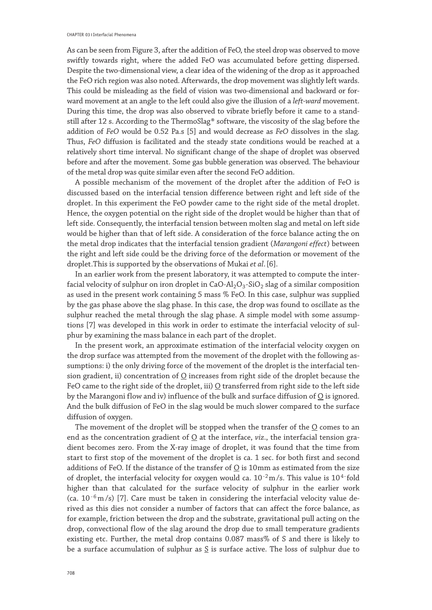As can be seen from Figure 3, after the addition of FeO, the steel drop was observed to move swiftly towards right, where the added FeO was accumulated before getting dispersed. Despite the two-dimensional view, a clear idea of the widening of the drop as it approached the FeO rich region was also noted. Afterwards, the drop movement was slightly left wards. This could be misleading as the field of vision was two-dimensional and backward or forward movement at an angle to the left could also give the illusion of a *left-ward* movement. During this time, the drop was also observed to vibrate briefly before it came to a standstill after 12 s. According to the ThermoSlag® software, the viscosity of the slag before the addition of *FeO* would be 0.52 Pa.s [5] and would decrease as *FeO* dissolves in the slag. Thus, *FeO* diffusion is facilitated and the steady state conditions would be reached at a relatively short time interval. No significant change of the shape of droplet was observed before and after the movement. Some gas bubble generation was observed. The behaviour of the metal drop was quite similar even after the second FeO addition.

A possible mechanism of the movement of the droplet after the addition of FeO is discussed based on the interfacial tension difference between right and left side of the droplet. In this experiment the FeO powder came to the right side of the metal droplet. Hence, the oxygen potential on the right side of the droplet would be higher than that of left side. Consequently, the interfacial tension between molten slag and metal on left side would be higher than that of left side. A consideration of the force balance acting the on the metal drop indicates that the interfacial tension gradient ( *Marangoni effect* ) between the right and left side could be the driving force of the deformation or movement of the droplet.This is supported by the observations of Mukai *et al*. [6].

In an earlier work from the present laboratory, it was attempted to compute the interfacial velocity of sulphur on iron droplet in CaO-Al<sub>2</sub>O<sub>3</sub>-SiO<sub>2</sub> slag of a similar composition as used in the present work containing 5 mass % FeO. In this case, sulphur was supplied by the gas phase above the slag phase. In this case, the drop was found to oscillate as the sulphur reached the metal through the slag phase. A simple model with some assumptions [7] was developed in this work in order to estimate the interfacial velocity of sulphur by examining the mass balance in each part of the droplet.

In the present work, an approximate estimation of the interfacial velocity oxygen on the drop surface was attempted from the movement of the droplet with the following assumptions: i) the only driving force of the movement of the droplet is the interfacial tension gradient, ii) concentration of  $Q$  increases from right side of the droplet because the FeO came to the right side of the droplet, iii)  $Q$  transferred from right side to the left side by the Marangoni flow and iv) influence of the bulk and surface diffusion of  $Q$  is ignored. And the bulk diffusion of FeO in the slag would be much slower compared to the surface diffusion of oxygen.

The movement of the droplet will be stopped when the transfer of the  $Q$  comes to an end as the concentration gradient of  $Q$  at the interface, *viz.*, the interfacial tension gradient becomes zero. From the X-ray image of droplet, it was found that the time from start to first stop of the movement of the droplet is ca. 1 sec. for both first and second additions of FeO. If the distance of the transfer of  $Q$  is 10 mm as estimated from the size of droplet, the interfacial velocity for oxygen would ca.  $10^{-2}$  m/s. This value is  $10^{4}$  fold higher than that calculated for the surface velocity of sulphur in the earlier work (ca.  $10^{-6}$  m/s) [7]. Care must be taken in considering the interfacial velocity value derived as this dies not consider a number of factors that can affect the force balance, as for example, friction between the drop and the substrate, gravitational pull acting on the drop, convectional flow of the slag around the drop due to small temperature gradients existing etc. Further, the metal drop contains 0.087 mass% of S and there is likely to be a surface accumulation of sulphur as  $S$  is surface active. The loss of sulphur due to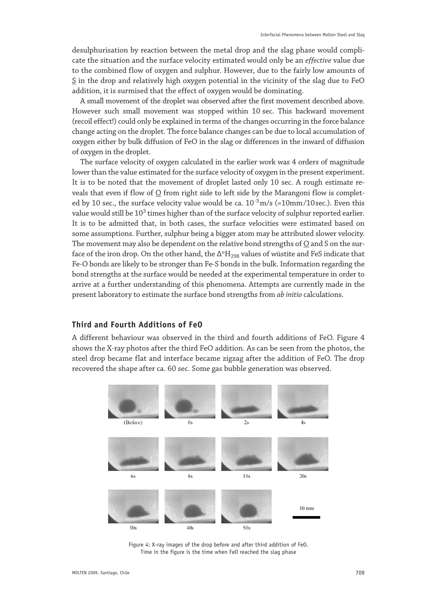desulphurisation by reaction between the metal drop and the slag phase would complicate the situation and the surface velocity estimated would only be an *effective* value due to the combined flow of oxygen and sulphur. However, due to the fairly low amounts of S in the drop and relatively high oxygen potential in the vicinity of the slag due to FeO addition, it is surmised that the effect of oxygen would be dominating.

A small movement of the droplet was observed after the first movement described above. However such small movement was stopped within 10 sec. This backward movement (recoil effect!) could only be explained in terms of the changes occurring in the force balance change acting on the droplet. The force balance changes can be due to local accumulation of oxygen either by bulk diffusion of FeO in the slag or differences in the inward of diffusion of oxygen in the droplet.

The surface velocity of oxygen calculated in the earlier work was 4 orders of magnitude lower than the value estimated for the surface velocity of oxygen in the present experiment. It is to be noted that the movement of droplet lasted only 10 sec. A rough estimate reveals that even if flow of  $Q$  from right side to left side by the Marangoni flow is completed by 10 sec., the surface velocity value would be ca.  $10^{-3}$  m/s (=10mm/10 sec.). Even this value would still be  $10^3$  times higher than of the surface velocity of sulphur reported earlier. It is to be admitted that, in both cases, the surface velocities were estimated based on some assumptions. Further, sulphur being a bigger atom may be attributed slower velocity. The movement may also be dependent on the relative bond strengths of  $Q$  and S on the surface of the iron drop. On the other hand, the  $\Delta^{0}H_{298}$  values of wüstite and FeS indicate that Fe-O bonds are likely to be stronger than Fe-S bonds in the bulk. Information regarding the bond strengths at the surface would be needed at the experimental temperature in order to arrive at a further understanding of this phenomena. Attempts are currently made in the present laboratory to estimate the surface bond strengths from *ab initio* calculations.

#### **Third and Fourth Additions of FeO**

A different behaviour was observed in the third and fourth additions of FeO. Figure 4 shows the X-ray photos after the third FeO addition. As can be seen from the photos, the steel drop became flat and interface became zigzag after the addition of FeO. The drop recovered the shape after ca. 60 sec. Some gas bubble generation was observed.



Figure 4: X-ray images of the drop before and after third addition of FeO. Time in the figure is the time when FeO reached the slag phase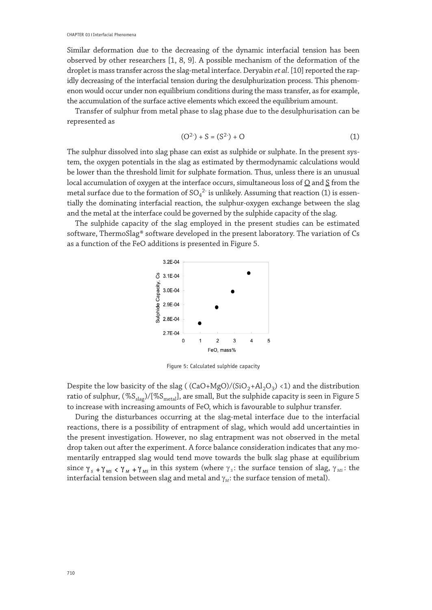Similar deformation due to the decreasing of the dynamic interfacial tension has been observed by other researchers [1, 8, 9]. A possible mechanism of the deformation of the droplet is mass transfer across the slag-metal interface. Deryabin *et al*. [10] reported the rapidly decreasing of the interfacial tension during the desulphurization process. This phenomenon would occur under non equilibrium conditions during the mass transfer, as for example, the accumulation of the surface active elements which exceed the equilibrium amount.

Transfer of sulphur from metal phase to slag phase due to the desulphurisation can be represented as

$$
(O2) + S = (S2) + O
$$
 (1)

The sulphur dissolved into slag phase can exist as sulphide or sulphate. In the present system, the oxygen potentials in the slag as estimated by thermodynamic calculations would be lower than the threshold limit for sulphate formation. Thus, unless there is an unusual local accumulation of oxygen at the interface occurs, simultaneous loss of  $Q$  and  $\zeta$  from the metal surface due to the formation of  $\text{SO}_4{}^{2}$  is unlikely. Assuming that reaction (1) is essentially the dominating interfacial reaction, the sulphur-oxygen exchange between the slag and the metal at the interface could be governed by the sulphide capacity of the slag.

The sulphide capacity of the slag employed in the present studies can be estimated software, ThermoSlag® software developed in the present laboratory. The variation of Cs as a function of the FeO additions is presented in Figure 5.



Figure 5: Calculated sulphide capacity

Despite the low basicity of the slag ( $(CaO+MgO)/(SiO<sub>2</sub>+Al<sub>2</sub>O<sub>3</sub>)$  < 1) and the distribution ratio of sulphur,  $(\%S_{\text{slap}})/[\%S_{\text{metal}}]$ , are small, But the sulphide capacity is seen in Figure 5 to increase with increasing amounts of FeO, which is favourable to sulphur transfer.

During the disturbances occurring at the slag-metal interface due to the interfacial reactions, there is a possibility of entrapment of slag, which would add uncertainties in the present investigation. However, no slag entrapment was not observed in the metal drop taken out after the experiment. A force balance consideration indicates that any momentarily entrapped slag would tend move towards the bulk slag phase at equilibrium since  $\gamma_s$  +  $\gamma_{MS}$  <  $\gamma_M$  +  $\gamma_{MS}$  in this system (where  $\gamma_s$ : the surface tension of slag,  $\gamma_{MS}$ : the interfacial tension between slag and metal and  $\gamma_M$ : the surface tension of metal).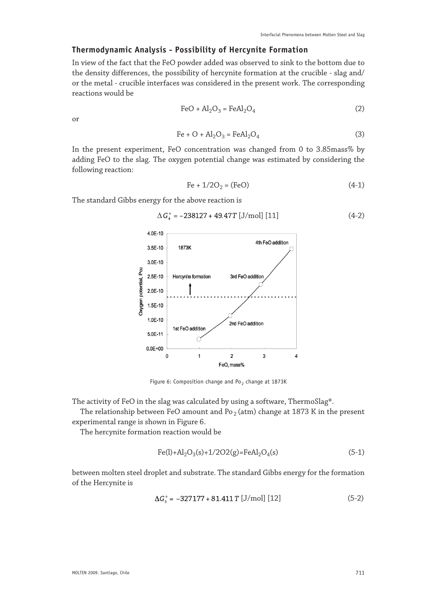### **Thermodynamic Analysis - Possibility of Hercynite Formation**

In view of the fact that the FeO powder added was observed to sink to the bottom due to the density differences, the possibility of hercynite formation at the crucible - slag and/ or the metal - crucible interfaces was considered in the present work. The corresponding reactions would be

$$
\text{FeO} + \text{Al}_2\text{O}_3 = \text{FeAl}_2\text{O}_4\tag{2}
$$

or

$$
\text{Fe} + \text{O} + \text{Al}_2\text{O}_3 = \text{FeAl}_2\text{O}_4 \tag{3}
$$

In the present experiment, FeO concentration was changed from 0 to 3.85mass% by adding FeO to the slag. The oxygen potential change was estimated by considering the following reaction:

$$
Fe + 1/2O_2 = (FeO)
$$
 (4-1)

The standard Gibbs energy for the above reaction is

$$
\Delta G_{4}^{\circ} = -238127 + 49.47T [J/mol] [11]
$$
 (4-2)



Figure 6: Composition change and Po<sub>2</sub> change at 1873K

The activity of FeO in the slag was calculated by using a software, ThermoSlag®.

The relationship between FeO amount and  $Po_2$  (atm) change at 1873 K in the present experimental range is shown in Figure 6.

The hercynite formation reaction would be

$$
Fe(l) + Al_2O_3(s) + 1/2O2(g) = FeAl_2O_4(s)
$$
\n(5-1)

between molten steel droplet and substrate. The standard Gibbs energy for the formation of the Hercynite is

$$
\Delta G_{\rm s}^{\circ} = -327177 + 81.411 \, T \, [J/mol] \, [12] \tag{5-2}
$$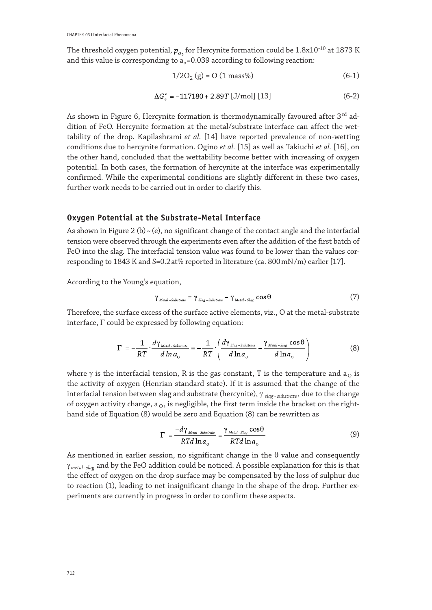The threshold oxygen potential,  $p_{o}$  for Hercynite formation could be 1.8x10<sup>-10</sup> at 1873 K and this value is corresponding to  $a_0 = 0.039$  according to following reaction:

$$
1/2O_2(g) = O(1 \text{ mass})\tag{6-1}
$$

$$
\Delta G_s^{\circ} = -117180 + 2.89T \,[\text{J/mol}] \,[13] \tag{6-2}
$$

As shown in Figure 6, Hercynite formation is thermodynamically favoured after  $3^{rd}$  addition of FeO. Hercynite formation at the metal/substrate interface can affect the wettability of the drop. Kapilashrami *et al.* [14] have reported prevalence of non-wetting conditions due to hercynite formation. Ogino *et al.* [15] as well as Takiuchi *et al.* [16], on the other hand, concluded that the wettability become better with increasing of oxygen potential. In both cases, the formation of hercynite at the interface was experimentally confirmed. While the experimental conditions are slightly different in these two cases, further work needs to be carried out in order to clarify this.

#### **Oxygen Potential at the Substrate-Metal Interface**

As shown in Figure 2 (b)  $\sim$  (e), no significant change of the contact angle and the interfacial tension were observed through the experiments even after the addition of the first batch of FeO into the slag. The interfacial tension value was found to be lower than the values corresponding to 1843 K and S=0.2at% reported in literature (ca. 800mN/m) earlier [17].

According to the Young's equation,

$$
\gamma_{\text{metal-Substrate}} = \gamma_{\text{Slag-Substrate}} - \gamma_{\text{Metal-Slag}} \cos \theta \tag{7}
$$

Therefore, the surface excess of the surface active elements, viz., O at the metal-substrate interface, Γ could be expressed by following equation:

$$
\Gamma = -\frac{1}{RT} \cdot \frac{d\gamma_{\text{Mean-Substrate}}}{d\ln a_{\text{o}}} = -\frac{1}{RT} \cdot \left(\frac{d\gamma_{\text{Slog-Substrate}}}{d\ln a_{\text{o}}} - \frac{\gamma_{\text{Mean-Slag}}\cos\theta}{d\ln a_{\text{o}}}\right)
$$
(8)

where  $\gamma$  is the interfacial tension, R is the gas constant, T is the temperature and  $a_0$  is the activity of oxygen (Henrian standard state). If it is assumed that the change of the interfacial tension between slag and substrate (hercynite), γ *slag - substrate* , due to the change of oxygen activity change,  $a<sub>0</sub>$ , is negligible, the first term inside the bracket on the righthand side of Equation (8) would be zero and Equation (8) can be rewritten as

$$
\Gamma = \frac{-d\gamma_{\text{Media-Substrate}}}{RTd\ln a_{\text{o}}} = \frac{\gamma_{\text{Mean-Stage}}\cos\theta}{RTd\ln a_{\text{o}}}
$$
(9)

As mentioned in earlier session, no significant change in the θ value and consequently γ *metal - slag* and by the FeO addition could be noticed. A possible explanation for this is that the effect of oxygen on the drop surface may be compensated by the loss of sulphur due to reaction (1), leading to net insignificant change in the shape of the drop. Further experiments are currently in progress in order to confirm these aspects.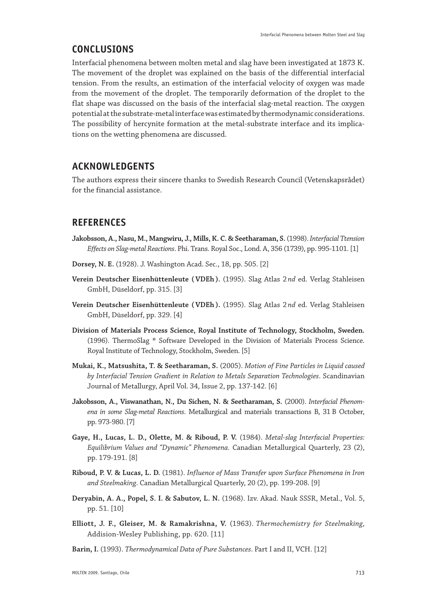# **CONCLUSIONS**

Interfacial phenomena between molten metal and slag have been investigated at 1873 K. The movement of the droplet was explained on the basis of the differential interfacial tension. From the results, an estimation of the interfacial velocity of oxygen was made from the movement of the droplet. The temporarily deformation of the droplet to the flat shape was discussed on the basis of the interfacial slag-metal reaction. The oxygen potential at the substrate-metal interface was estimated by thermodynamic considerations. The possibility of hercynite formation at the metal-substrate interface and its implications on the wetting phenomena are discussed.

# **ACKNOWLEDGENTS**

The authors express their sincere thanks to Swedish Research Council (Vetenskapsrådet) for the financial assistance.

# **REFERENCES**

- **Jakobsson, A., Nasu, M., Mangwiru, J., Mills, K. C. & Seetharaman, S.** (1998). *Interfacial Ttension Effects on Slag-metal Reactions*. Phi. Trans. Royal Soc., Lond. A, 356 (1739), pp. 995-1101. [1]
- **Dorsey, N. E.** (1928). J. Washington Acad. Sec., 18, pp. 505. [2]
- **Verein Deutscher Eisenhüttenleute ( VDEh ).** (1995). Slag Atlas 2 *nd* ed. Verlag Stahleisen GmbH, Düseldorf, pp. 315. [3]
- **Verein Deutscher Eisenhüttenleute ( VDEh ).** (1995). Slag Atlas 2 *nd* ed. Verlag Stahleisen GmbH, Düseldorf, pp. 329. [4]
- **Division of Materials Process Science, Royal Institute of Technology, Stockholm, Sweden.**  (1996). ThermoSlag ® Software Developed in the Division of Materials Process Science. Royal Institute of Technology, Stockholm, Sweden. [5]
- **Mukai, K., Matsushita, T. & Seetharaman, S.** (2005). *Motion of Fine Particles in Liquid caused by Interfacial Tension Gradient in Relation to Metals Separation Technologies*. Scandinavian Journal of Metallurgy, April Vol. 34, Issue 2, pp. 137-142. [6]
- **Jakobsson, A., Viswanathan, N., Du Sichen, N. & Seetharaman, S.** (2000). *Interfacial Phenomena in some Slag-metal Reactions*. Metallurgical and materials transactions B, 31 B October, pp. 973-980. [7]
- **Gaye, H., Lucas, L. D., Olette, M. & Riboud, P. V.** (1984). *Metal-slag Interfacial Properties: Equilibrium Values and "Dynamic" Phenomena.* Canadian Metallurgical Quarterly, 23 (2), pp. 179-191. [8]
- **Riboud, P. V. & Lucas, L. D.** (1981). *Influence of Mass Transfer upon Surface Phenomena in Iron and Steelmaking*. Canadian Metallurgical Quarterly, 20 (2), pp. 199-208. [9]
- **Deryabin, A. A., Popel, S. I. & Sabutov, L. N.** (1968). Izv. Akad. Nauk SSSR, Metal., Vol. 5, pp. 51. [10]
- **Elliott, J. F., Gleiser, M. & Ramakrishna, V.** (1963). *Thermochemistry for Steelmaking*, Addision-Wesley Publishing, pp. 620. [11]
- **Barin, I.** (1993). *Thermodynamical Data of Pure Substances*. Part I and II , VCH . [12]